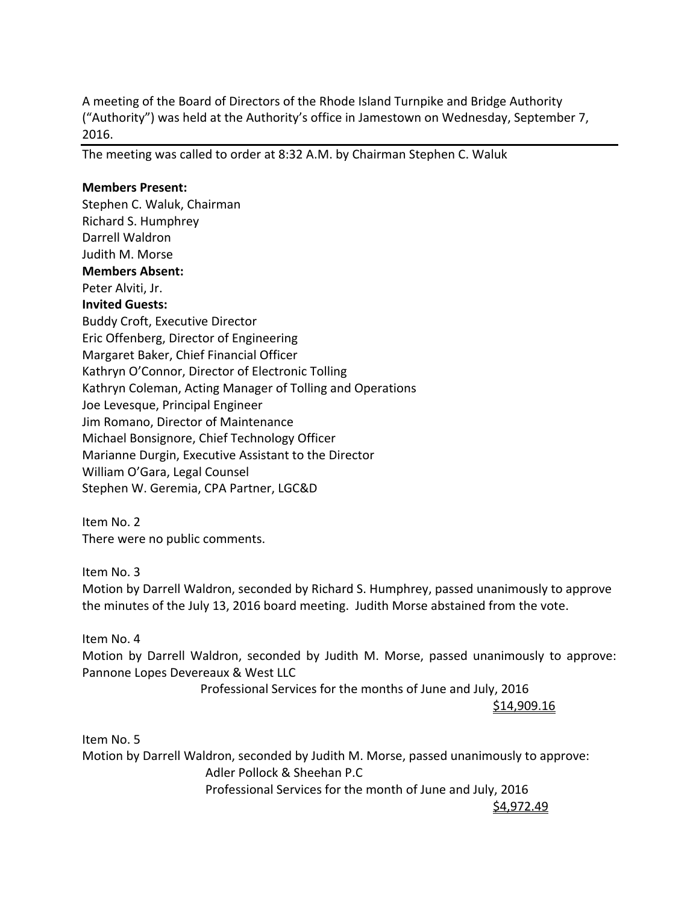A meeting of the Board of Directors of the Rhode Island Turnpike and Bridge Authority ("Authority") was held at the Authority's office in Jamestown on Wednesday, September 7, 2016.

The meeting was called to order at 8:32 A.M. by Chairman Stephen C. Waluk

#### **Members Present:**

Stephen C. Waluk, Chairman Richard S. Humphrey Darrell Waldron Judith M. Morse **Members Absent:**  Peter Alviti, Jr. **Invited Guests:** Buddy Croft, Executive Director Eric Offenberg, Director of Engineering Margaret Baker, Chief Financial Officer Kathryn O'Connor, Director of Electronic Tolling Kathryn Coleman, Acting Manager of Tolling and Operations Joe Levesque, Principal Engineer Jim Romano, Director of Maintenance Michael Bonsignore, Chief Technology Officer Marianne Durgin, Executive Assistant to the Director William O'Gara, Legal Counsel Stephen W. Geremia, CPA Partner, LGC&D

Item No. 2 There were no public comments.

Item No. 3

Motion by Darrell Waldron, seconded by Richard S. Humphrey, passed unanimously to approve the minutes of the July 13, 2016 board meeting. Judith Morse abstained from the vote.

Item No. 4

Motion by Darrell Waldron, seconded by Judith M. Morse, passed unanimously to approve: Pannone Lopes Devereaux & West LLC

Professional Services for the months of June and July, 2016

\$14,909.16

Item No. 5 Motion by Darrell Waldron, seconded by Judith M. Morse, passed unanimously to approve: Adler Pollock & Sheehan P.C Professional Services for the month of June and July, 2016  $\frac{\zeta_{4,972.49}}{2}$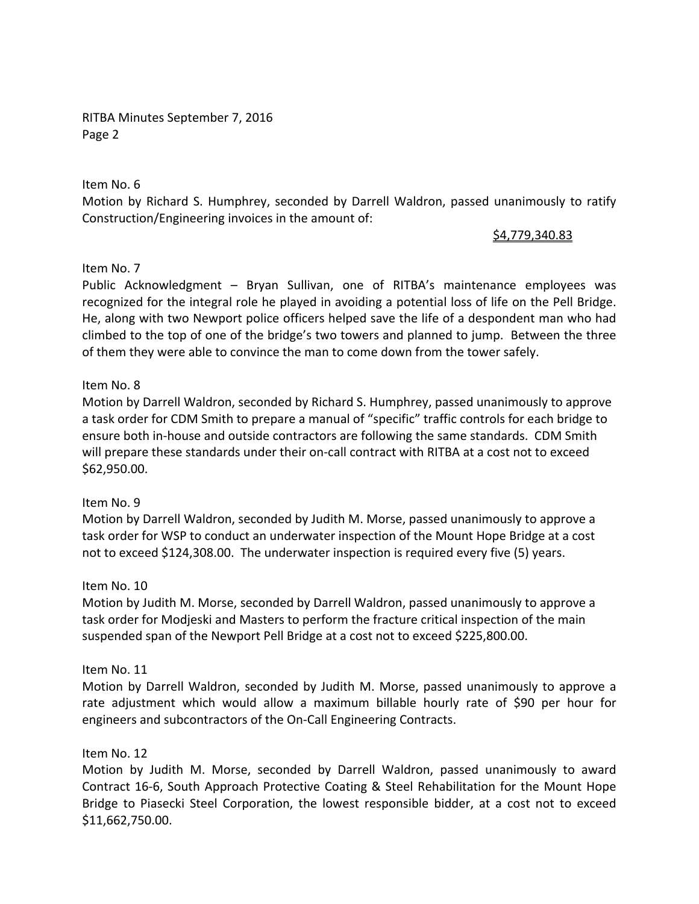RITBA Minutes September 7, 2016 Page 2

Item No. 6

Motion by Richard S. Humphrey, seconded by Darrell Waldron, passed unanimously to ratify Construction/Engineering invoices in the amount of:

# \$4,779,340.83

### Item No. 7

Public Acknowledgment – Bryan Sullivan, one of RITBA's maintenance employees was recognized for the integral role he played in avoiding a potential loss of life on the Pell Bridge. He, along with two Newport police officers helped save the life of a despondent man who had climbed to the top of one of the bridge's two towers and planned to jump. Between the three of them they were able to convince the man to come down from the tower safely.

### Item No. 8

Motion by Darrell Waldron, seconded by Richard S. Humphrey, passed unanimously to approve a task order for CDM Smith to prepare a manual of "specific" traffic controls for each bridge to ensure both in‐house and outside contractors are following the same standards. CDM Smith will prepare these standards under their on-call contract with RITBA at a cost not to exceed \$62,950.00.

# Item No. 9

Motion by Darrell Waldron, seconded by Judith M. Morse, passed unanimously to approve a task order for WSP to conduct an underwater inspection of the Mount Hope Bridge at a cost not to exceed \$124,308.00. The underwater inspection is required every five (5) years.

# Item No. 10

Motion by Judith M. Morse, seconded by Darrell Waldron, passed unanimously to approve a task order for Modjeski and Masters to perform the fracture critical inspection of the main suspended span of the Newport Pell Bridge at a cost not to exceed \$225,800.00.

# Item No. 11

Motion by Darrell Waldron, seconded by Judith M. Morse, passed unanimously to approve a rate adjustment which would allow a maximum billable hourly rate of \$90 per hour for engineers and subcontractors of the On‐Call Engineering Contracts.

### Item No. 12

Motion by Judith M. Morse, seconded by Darrell Waldron, passed unanimously to award Contract 16‐6, South Approach Protective Coating & Steel Rehabilitation for the Mount Hope Bridge to Piasecki Steel Corporation, the lowest responsible bidder, at a cost not to exceed \$11,662,750.00.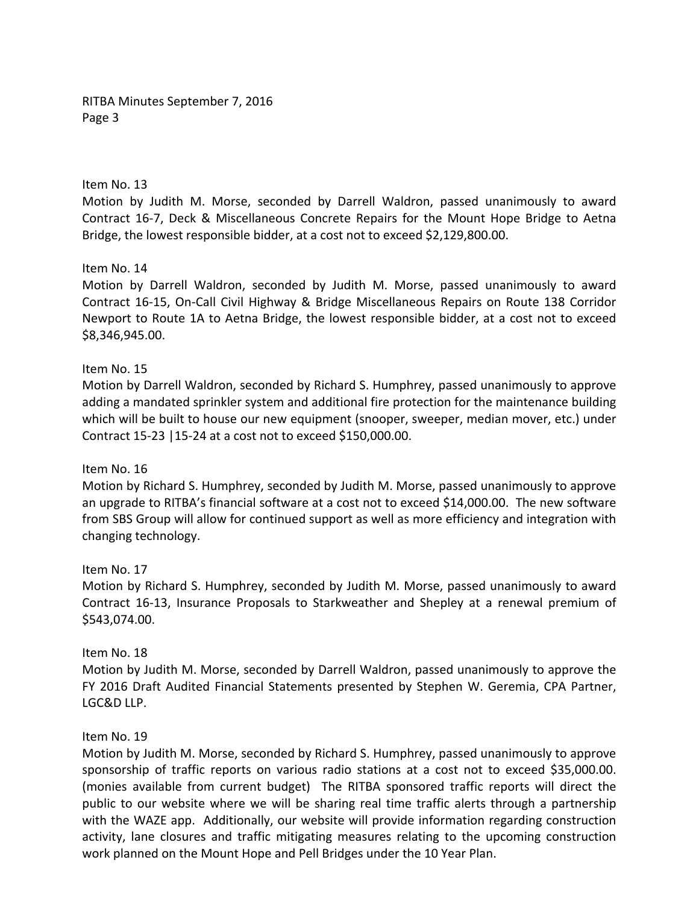RITBA Minutes September 7, 2016 Page 3

Item No. 13

Motion by Judith M. Morse, seconded by Darrell Waldron, passed unanimously to award Contract 16‐7, Deck & Miscellaneous Concrete Repairs for the Mount Hope Bridge to Aetna Bridge, the lowest responsible bidder, at a cost not to exceed \$2,129,800.00.

Item No. 14

Motion by Darrell Waldron, seconded by Judith M. Morse, passed unanimously to award Contract 16‐15, On‐Call Civil Highway & Bridge Miscellaneous Repairs on Route 138 Corridor Newport to Route 1A to Aetna Bridge, the lowest responsible bidder, at a cost not to exceed \$8,346,945.00.

#### Item No. 15

Motion by Darrell Waldron, seconded by Richard S. Humphrey, passed unanimously to approve adding a mandated sprinkler system and additional fire protection for the maintenance building which will be built to house our new equipment (snooper, sweeper, median mover, etc.) under Contract 15‐23 |15‐24 at a cost not to exceed \$150,000.00.

### Item No. 16

Motion by Richard S. Humphrey, seconded by Judith M. Morse, passed unanimously to approve an upgrade to RITBA's financial software at a cost not to exceed \$14,000.00. The new software from SBS Group will allow for continued support as well as more efficiency and integration with changing technology.

#### Item No. 17

Motion by Richard S. Humphrey, seconded by Judith M. Morse, passed unanimously to award Contract 16‐13, Insurance Proposals to Starkweather and Shepley at a renewal premium of \$543,074.00.

### Item No. 18

Motion by Judith M. Morse, seconded by Darrell Waldron, passed unanimously to approve the FY 2016 Draft Audited Financial Statements presented by Stephen W. Geremia, CPA Partner, LGC&D LLP.

### Item No. 19

Motion by Judith M. Morse, seconded by Richard S. Humphrey, passed unanimously to approve sponsorship of traffic reports on various radio stations at a cost not to exceed \$35,000.00. (monies available from current budget) The RITBA sponsored traffic reports will direct the public to our website where we will be sharing real time traffic alerts through a partnership with the WAZE app. Additionally, our website will provide information regarding construction activity, lane closures and traffic mitigating measures relating to the upcoming construction work planned on the Mount Hope and Pell Bridges under the 10 Year Plan.